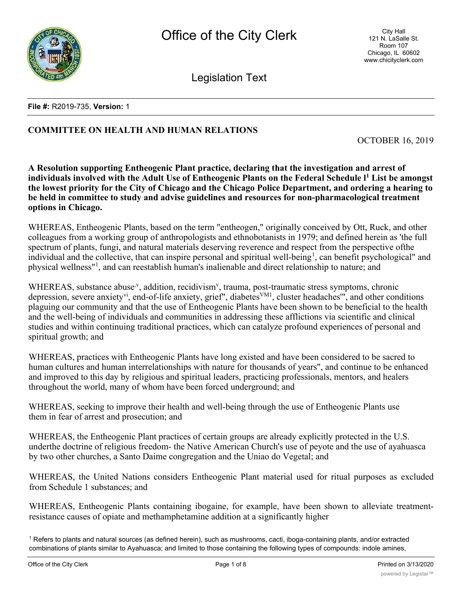

Legislation Text

#### **File #:** R2019-735, **Version:** 1

# **COMMITTEE ON HEALTH AND HUMAN RELATIONS**

OCTOBER 16, 2019

**A Resolution supporting Entheogenic Plant practice, declaring that the investigation and arrest of individuals involved with the Adult Use of Entheogenic Plants on the Federal Schedule l1 List be amongst the lowest priority for the City of Chicago and the Chicago Police Department, and ordering a hearing to be held in committee to study and advise guidelines and resources for non-pharmacological treatment options in Chicago.**

WHEREAS, Entheogenic Plants, based on the term "entheogen," originally conceived by Ott, Ruck, and other colleagues from a working group of anthropologists and ethnobotanists in 1979; and defined herein as 'the full spectrum of plants, fungi, and natural materials deserving reverence and respect from the perspective ofthe individual and the collective, that can inspire personal and spiritual well-being<sup>1</sup>, can benefit psychological" and physical wellness"1 , and can reestablish human's inalienable and direct relationship to nature; and

WHEREAS, substance abuse<sup>, v</sup>, addition, recidivism<sup>v</sup>, trauma, post-traumatic stress symptoms, chronic depression, severe anxiety<sup>vi</sup>, end-of-life anxiety, grief", diabetes<sup>VM1</sup>, cluster headaches", and other conditions plaguing our community and that the use of Entheogenic Plants have been shown to be beneficial to the health and the well-being of individuals and communities in addressing these afflictions via scientific and clinical studies and within continuing traditional practices, which can catalyze profound experiences of personal and spiritual growth; and

WHEREAS, practices with Entheogenic Plants have long existed and have been considered to be sacred to human cultures and human interrelationships with nature for thousands of years", and continue to be enhanced and improved to this day by religious and spiritual leaders, practicing professionals, mentors, and healers throughout the world, many of whom have been forced underground; and

WHEREAS, seeking to improve their health and well-being through the use of Entheogenic Plants use them in fear of arrest and prosecution; and

WHEREAS, the Entheogenic Plant practices of certain groups are already explicitly protected in the U.S. underthe doctrine of religious freedom- the Native American Church's use of peyote and the use of ayahuasca by two other churches, a Santo Daime congregation and the Uniao do Vegetal; and

WHEREAS, the United Nations considers Entheogenic Plant material used for ritual purposes as excluded from Schedule 1 substances; and

WHEREAS, Entheogenic Plants containing ibogaine, for example, have been shown to alleviate treatmentresistance causes of opiate and methamphetamine addition at a significantly higher

<sup>1</sup> Refers to plants and natural sources (as defined herein), such as mushrooms, cacti, iboga-containing plants, and/or extracted combinations of plants similar to Ayahuasca; and limited to those containing the following types of compounds: indole amines,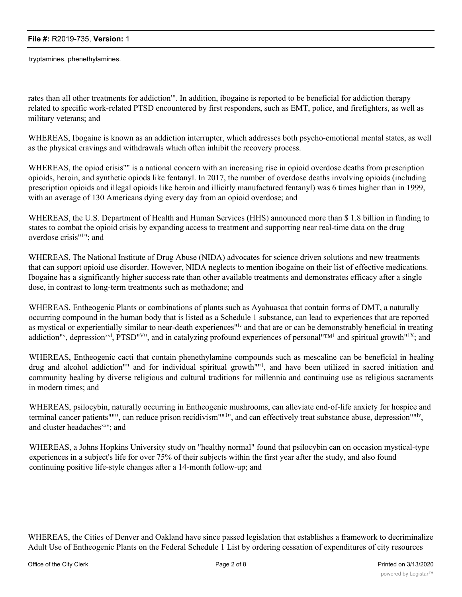tryptamines, phenethylamines.

rates than all other treatments for addiction"'. In addition, ibogaine is reported to be beneficial for addiction therapy related to specific work-related PTSD encountered by first responders, such as EMT, police, and firefighters, as well as military veterans; and

WHEREAS, Ibogaine is known as an addiction interrupter, which addresses both psycho-emotional mental states, as well as the physical cravings and withdrawals which often inhibit the recovery process.

WHEREAS, the opiod crisis"" is a national concern with an increasing rise in opioid overdose deaths from prescription opioids, heroin, and synthetic opiods like fentanyl. In 2017, the number of overdose deaths involving opioids (including prescription opioids and illegal opioids like heroin and illicitly manufactured fentanyl) was 6 times higher than in 1999, with an average of 130 Americans dying every day from an opioid overdose; and

WHEREAS, the U.S. Department of Health and Human Services (HHS) announced more than \$ 1.8 billion in funding to states to combat the opioid crisis by expanding access to treatment and supporting near real-time data on the drug overdose crisis"<sup>1</sup>"; and

WHEREAS, The National Institute of Drug Abuse (NIDA) advocates for science driven solutions and new treatments that can support opioid use disorder. However, NIDA neglects to mention ibogaine on their list of effective medications. Ibogaine has a significantly higher success rate than other available treatments and demonstrates efficacy after a single dose, in contrast to long-term treatments such as methadone; and

WHEREAS, Entheogenic Plants or combinations of plants such as Ayahuasca that contain forms of DMT, a naturally occurring compound in the human body that is listed as a Schedule 1 substance, can lead to experiences that are reported as mystical or experientially similar to near-death experiences"<sup>ly</sup> and that are or can be demonstrably beneficial in treating addiction"<sup>v</sup>, depression<sup>xvl</sup>, PTSD"<sup>V</sup>", and in catalyzing profound experiences of personal"<sup>TM1</sup> and spiritual growth"<sup>1X</sup>; and

WHEREAS, Entheogenic cacti that contain phenethylamine compounds such as mescaline can be beneficial in healing drug and alcohol addiction"" and for individual spiritual growth"<sup>1</sup>, and have been utilized in sacred initiation and community healing by diverse religious and cultural traditions for millennia and continuing use as religious sacraments in modern times; and

WHEREAS, psilocybin, naturally occurring in Entheogenic mushrooms, can alleviate end-of-life anxiety for hospice and terminal cancer patients""", can reduce prison recidivism""<sup>1</sup>", and can effectively treat substance abuse, depression""<sup>ly</sup>, and cluster headaches<sup>xxv</sup>; and

WHEREAS, a Johns Hopkins University study on "healthy normal" found that psilocybin can on occasion mystical-type experiences in a subject's life for over 75% of their subjects within the first year after the study, and also found continuing positive life-style changes after a 14-month follow-up; and

WHEREAS, the Cities of Denver and Oakland have since passed legislation that establishes a framework to decriminalize Adult Use of Entheogenic Plants on the Federal Schedule 1 List by ordering cessation of expenditures of city resources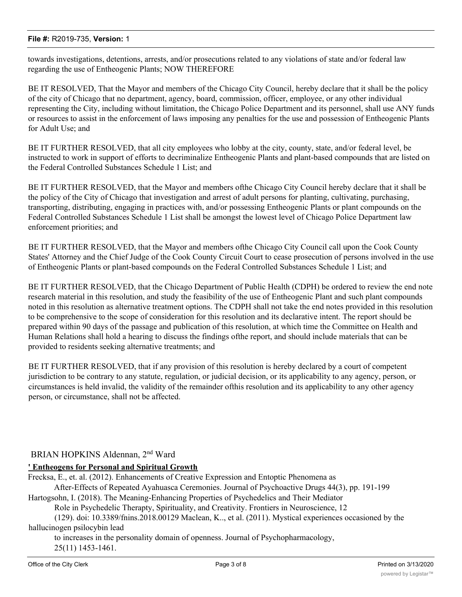#### **File #:** R2019-735, **Version:** 1

towards investigations, detentions, arrests, and/or prosecutions related to any violations of state and/or federal law regarding the use of Entheogenic Plants; NOW THEREFORE

BE IT RESOLVED, That the Mayor and members of the Chicago City Council, hereby declare that it shall be the policy of the city of Chicago that no department, agency, board, commission, officer, employee, or any other individual representing the City, including without limitation, the Chicago Police Department and its personnel, shall use ANY funds or resources to assist in the enforcement of laws imposing any penalties for the use and possession of Entheogenic Plants for Adult Use; and

BE IT FURTHER RESOLVED, that all city employees who lobby at the city, county, state, and/or federal level, be instructed to work in support of efforts to decriminalize Entheogenic Plants and plant-based compounds that are listed on the Federal Controlled Substances Schedule 1 List; and

BE IT FURTHER RESOLVED, that the Mayor and members ofthe Chicago City Council hereby declare that it shall be the policy of the City of Chicago that investigation and arrest of adult persons for planting, cultivating, purchasing, transporting, distributing, engaging in practices with, and/or possessing Entheogenic Plants or plant compounds on the Federal Controlled Substances Schedule 1 List shall be amongst the lowest level of Chicago Police Department law enforcement priorities; and

BE IT FURTHER RESOLVED, that the Mayor and members ofthe Chicago City Council call upon the Cook County States' Attorney and the Chief Judge of the Cook County Circuit Court to cease prosecution of persons involved in the use of Entheogenic Plants or plant-based compounds on the Federal Controlled Substances Schedule 1 List; and

BE IT FURTHER RESOLVED, that the Chicago Department of Public Health (CDPH) be ordered to review the end note research material in this resolution, and study the feasibility of the use of Entheogenic Plant and such plant compounds noted in this resolution as alternative treatment options. The CDPH shall not take the end notes provided in this resolution to be comprehensive to the scope of consideration for this resolution and its declarative intent. The report should be prepared within 90 days of the passage and publication of this resolution, at which time the Committee on Health and Human Relations shall hold a hearing to discuss the findings ofthe report, and should include materials that can be provided to residents seeking alternative treatments; and

BE IT FURTHER RESOLVED, that if any provision of this resolution is hereby declared by a court of competent jurisdiction to be contrary to any statute, regulation, or judicial decision, or its applicability to any agency, person, or circumstances is held invalid, the validity of the remainder ofthis resolution and its applicability to any other agency person, or circumstance, shall not be affected.

### BRIAN HOPKINS Aldennan, 2nd Ward

#### **' Entheogens for Personal and Spiritual Growth**

Frecksa, E., et. al. (2012). Enhancements of Creative Expression and Entoptic Phenomena as

After-Effects of Repeated Ayahuasca Ceremonies. Journal of Psychoactive Drugs 44(3), pp. 191-199 Hartogsohn, I. (2018). The Meaning-Enhancing Properties of Psychedelics and Their Mediator

Role in Psychedelic Therapty, Spirituality, and Creativity. Frontiers in Neuroscience, 12

(129). doi: 10.3389/fnins.2018.00129 Maclean, K.., et al. (2011). Mystical experiences occasioned by the hallucinogen psilocybin lead

to increases in the personality domain of openness. Journal of Psychopharmacology,

25(11) 1453-1461.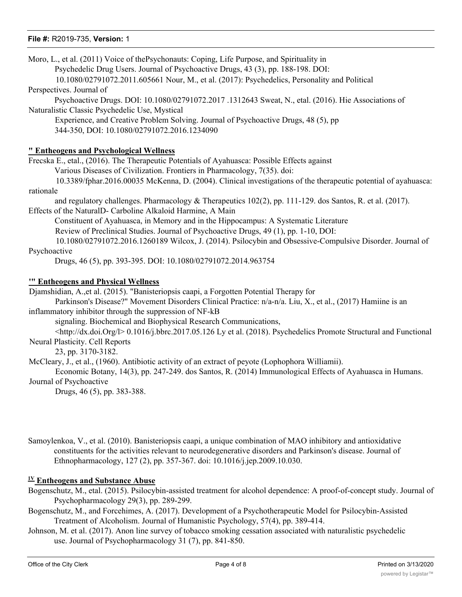#### **File #:** R2019-735, **Version:** 1

| Moro, L., et al. (2011) Voice of the Psychonauts: Coping, Life Purpose, and Spirituality in                                                                                 |
|-----------------------------------------------------------------------------------------------------------------------------------------------------------------------------|
| Psychedelic Drug Users. Journal of Psychoactive Drugs, 43 (3), pp. 188-198. DOI:                                                                                            |
| 10.1080/02791072.2011.605661 Nour, M., et al. (2017): Psychedelics, Personality and Political                                                                               |
| Perspectives. Journal of                                                                                                                                                    |
| Psychoactive Drugs. DOI: 10.1080/02791072.2017 .1312643 Sweat, N., etal. (2016). Hie Associations of<br>Naturalistic Classic Psychedelic Use, Mystical                      |
| Experience, and Creative Problem Solving. Journal of Psychoactive Drugs, 48 (5), pp                                                                                         |
| 344-350, DOI: 10.1080/02791072.2016.1234090                                                                                                                                 |
| " Entheogens and Psychological Wellness                                                                                                                                     |
| Frecska E., etal., (2016). The Therapeutic Potentials of Ayahuasca: Possible Effects against                                                                                |
| Various Diseases of Civilization. Frontiers in Pharmacology, 7(35). doi:                                                                                                    |
| 10.3389/fphar.2016.00035 McKenna, D. (2004). Clinical investigations of the therapeutic potential of ayahuasca:                                                             |
| rationale                                                                                                                                                                   |
| and regulatory challenges. Pharmacology & Therapeutics 102(2), pp. 111-129. dos Santos, R. et al. (2017).                                                                   |
| Effects of the NaturalD- Carboline Alkaloid Harmine, A Main                                                                                                                 |
| Constituent of Ayahuasca, in Memory and in the Hippocampus: A Systematic Literature<br>Review of Preclinical Studies. Journal of Psychoactive Drugs, 49 (1), pp. 1-10, DOI: |
| 10.1080/02791072.2016.1260189 Wilcox, J. (2014). Psilocybin and Obsessive-Compulsive Disorder. Journal of                                                                   |
| Psychoactive                                                                                                                                                                |
| Drugs, 46 (5), pp. 393-395. DOI: 10.1080/02791072.2014.963754                                                                                                               |
| " Entheogens and Physical Wellness                                                                                                                                          |
| Djamshidian, A., et al. (2015). "Banisteriopsis caapi, a Forgotten Potential Therapy for                                                                                    |
| Parkinson's Disease?" Movement Disorders Clinical Practice: n/a-n/a. Liu, X., et al., (2017) Hamiine is an                                                                  |
| inflammatory inhibitor through the suppression of NF-kB                                                                                                                     |
| signaling. Biochemical and Biophysical Research Communications,                                                                                                             |
| <http: dx.doi.org="" l=""> 0.1016/j.bbrc.2017.05.126 Ly et al. (2018). Psychedelics Promote Structural and Functional</http:>                                               |
| Neural Plasticity. Cell Reports<br>23, pp. 3170-3182.                                                                                                                       |
| McCleary, J., et al., (1960). Antibiotic activity of an extract of peyote (Lophophora Williamii).                                                                           |
| Economic Botany, 14(3), pp. 247-249. dos Santos, R. (2014) Immunological Effects of Ayahuasca in Humans.                                                                    |
| Journal of Psychoactive                                                                                                                                                     |
| Drugs, 46 (5), pp. 383-388.                                                                                                                                                 |
|                                                                                                                                                                             |
| Samoylenkoa, V., et al. (2010). Banisteriopsis caapi, a unique combination of MAO inhibitory and antioxidative                                                              |
| constituents for the activities relevant to neurodegenerative disorders and Parkinson's disease. Journal of                                                                 |

Ethnopharmacology, 127 (2), pp. 357-367. doi: 10.1016/j.jep.2009.10.030.

## **1V Entheogens and Substance Abuse**

- Bogenschutz, M., etal. (2015). Psilocybin-assisted treatment for alcohol dependence: A proof-of-concept study. Journal of Psychopharmacology 29(3), pp. 289-299.
- Bogenschutz, M., and Forcehimes, A. (2017). Development of a Psychotherapeutic Model for Psilocybin-Assisted Treatment of Alcoholism. Journal of Humanistic Psychology, 57(4), pp. 389-414.
- Johnson, M. et al. (2017). Anon line survey of tobacco smoking cessation associated with naturalistic psychedelic use. Journal of Psychopharmacology 31 (7), pp. 841-850.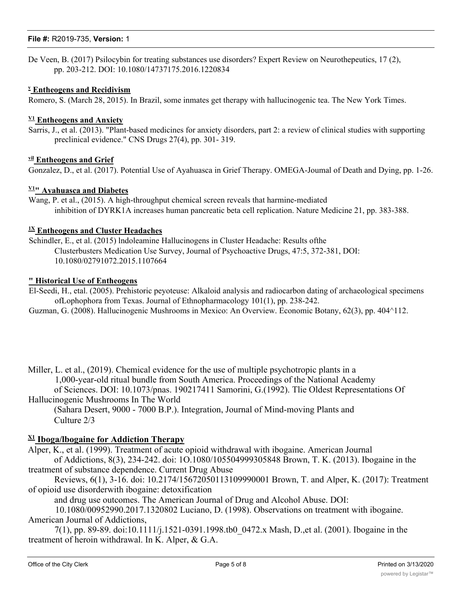#### **File #:** R2019-735, **Version:** 1

De Veen, B. (2017) Psilocybin for treating substances use disorders? Expert Review on Neurothepeutics, 17 (2), pp. 203-212. DOI: 10.1080/14737175.2016.1220834

#### **v Entheogens and Recidivism**

Romero, S. (March 28, 2015). In Brazil, some inmates get therapy with hallucinogenic tea. The New York Times.

#### **V1 Entheogens and Anxiety**

Sarris, J., et al. (2013). "Plant-based medicines for anxiety disorders, part 2: a review of clinical studies with supporting preclinical evidence." CNS Drugs 27(4), pp. 301- 319.

#### **vil Entheogens and Grief**

Gonzalez, D., et al. (2017). Potential Use of Ayahuasca in Grief Therapy. OMEGA-Joumal of Death and Dying, pp. 1-26.

### **V1" Ayahuasca and Diabetes**

Wang, P. et al., (2015). A high-throughput chemical screen reveals that harmine-mediated inhibition of DYRK1A increases human pancreatic beta cell replication. Nature Medicine 21, pp. 383-388.

#### **1X Entheogens and Cluster Headaches**

Schindler, E., et al. (2015) lndoleamine Hallucinogens in Cluster Headache: Results ofthe Clusterbusters Medication Use Survey, Journal of Psychoactive Drugs, 47:5, 372-381, DOI: 10.1080/02791072.2015.1107664

#### **" Historical Use of Entheogens**

El-Seedi, H., etal. (2005). Prehistoric peyoteuse: Alkaloid analysis and radiocarbon dating of archaeological specimens ofLophophora from Texas. Journal of Ethnopharmacology 101(1), pp. 238-242.

Guzman, G. (2008). Hallucinogenic Mushrooms in Mexico: An Overview. Economic Botany, 62(3), pp. 404^112.

Miller, L. et al., (2019). Chemical evidence for the use of multiple psychotropic plants in a 1,000-year-old ritual bundle from South America. Proceedings of the National Academy of Sciences. DOI: 10.1073/pnas. 190217411 Samorini, G.(1992). Tlie Oldest Representations Of Hallucinogenic Mushrooms In The World

(Sahara Desert, 9000 - 7000 B.P.). Integration, Journal of Mind-moving Plants and Culture 2/3

#### **X1 Iboga/lbogaine for Addiction Therapy**

Alper, K., et al. (1999). Treatment of acute opioid withdrawal with ibogaine. American Journal

of Addictions, 8(3), 234-242. doi: 1O.1080/105504999305848 Brown, T. K. (2013). Ibogaine in the treatment of substance dependence. Current Drug Abuse

Reviews, 6(1), 3-16. doi: 10.2174/15672050113109990001 Brown, T. and Alper, K. (2017): Treatment of opioid use disorderwith ibogaine: detoxification

and drug use outcomes. The American Journal of Drug and Alcohol Abuse. DOI:

10.1080/00952990.2017.1320802 Luciano, D. (1998). Observations on treatment with ibogaine. American Journal of Addictions,

7(1), pp. 89-89. doi:10.1111/j.1521-0391.1998.tb0\_0472.x Mash, D.,et al. (2001). Ibogaine in the treatment of heroin withdrawal. In K. Alper, & G.A.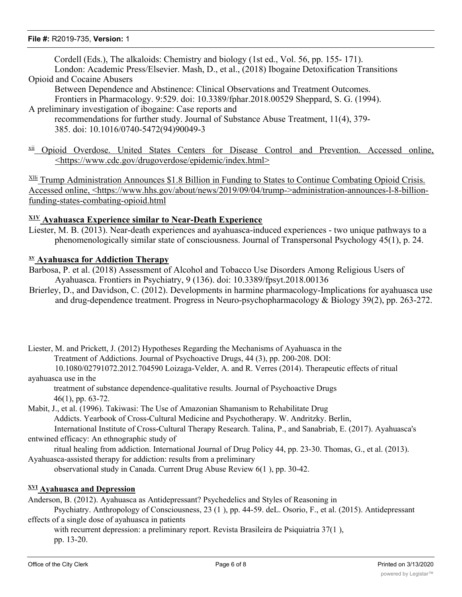Cordell (Eds.), The alkaloids: Chemistry and biology (1st ed., Vol. 56, pp. 155- 171). London: Academic Press/Elsevier. Mash, D., et al., (2018) Ibogaine Detoxification Transitions

Opioid and Cocaine Abusers

Between Dependence and Abstinence: Clinical Observations and Treatment Outcomes. Frontiers in Pharmacology. 9:529. doi: 10.3389/fphar.2018.00529 Sheppard, S. G. (1994).

- A preliminary investigation of ibogaine: Case reports and recommendations for further study. Journal of Substance Abuse Treatment, 11(4), 379- 385. doi: 10.1016/0740-5472(94)90049-3
- <sup>xii</sup> Opioid Overdose. United States Centers for Disease Control and Prevention. Accessed online, <https://www.cdc.gov/drugoverdose/epidemic/index.html>

 $\frac{\text{XIII}}{\text{I}}$  Trump Administration Announces \$1.8 Billion in Funding to States to Continue Combating Opioid Crisis. Accessed online, <https://www.hhs.gov/about/news/2019/09/04/trump->administration-announces-l-8-billionfunding-states-combating-opioid.html

### **X1V Ayahuasca Experience similar to Near-Death Experience**

Liester, M. B. (2013). Near-death experiences and ayahuasca-induced experiences - two unique pathways to a phenomenologically similar state of consciousness. Journal of Transpersonal Psychology 45(1), p. 24.

#### **xv Ayahuasca for Addiction Therapy**

- Barbosa, P. et al. (2018) Assessment of Alcohol and Tobacco Use Disorders Among Religious Users of Ayahuasca. Frontiers in Psychiatry, 9 (136). doi: 10.3389/fpsyt.2018.00136
- Brierley, D., and Davidson, C. (2012). Developments in harmine pharmacology-Implications for ayahuasca use and drug-dependence treatment. Progress in Neuro-psychopharmacology & Biology 39(2), pp. 263-272.

Liester, M. and Prickett, J. (2012) Hypotheses Regarding the Mechanisms of Ayahuasca in the Treatment of Addictions. Journal of Psychoactive Drugs, 44 (3), pp. 200-208. DOI: 10.1080/02791072.2012.704590 Loizaga-Velder, A. and R. Verres (2014). Therapeutic effects of ritual

ayahuasca use in the

treatment of substance dependence-qualitative results. Journal of Psychoactive Drugs 46(1), pp. 63-72.

Mabit, J., et al. (1996). Takiwasi: The Use of Amazonian Shamanism to Rehabilitate Drug Addicts. Yearbook of Cross-Cultural Medicine and Psychotherapy. W. Andritzky. Berlin,

International Institute of Cross-Cultural Therapy Research. Talina, P., and Sanabriab, E. (2017). Ayahuasca's entwined efficacy: An ethnographic study of

ritual healing from addiction. International Journal of Drug Policy 44, pp. 23-30. Thomas, G., et al. (2013). Ayahuasca-assisted therapy for addiction: results from a preliminary

observational study in Canada. Current Drug Abuse Review 6(1 ), pp. 30-42.

### **XVI Ayahuasca and Depression**

Anderson, B. (2012). Ayahuasca as Antidepressant? Psychedelics and Styles of Reasoning in

Psychiatry. Anthropology of Consciousness, 23 (1 ), pp. 44-59. deL. Osorio, F., et al. (2015). Antidepressant effects of a single dose of ayahuasca in patients

with recurrent depression: a preliminary report. Revista Brasileira de Psiquiatria 37(1), pp. 13-20.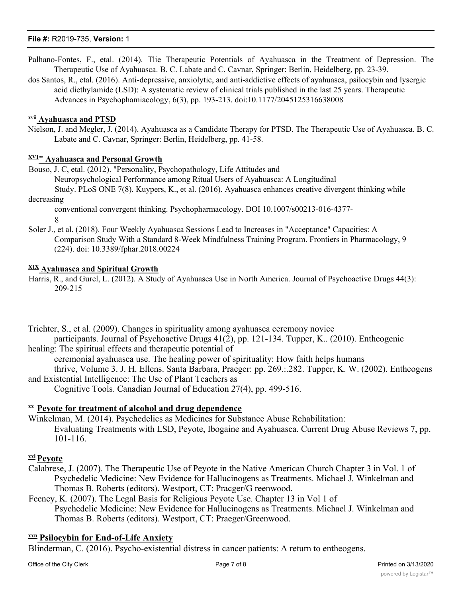- Palhano-Fontes, F., etal. (2014). Tlie Therapeutic Potentials of Ayahuasca in the Treatment of Depression. The Therapeutic Use of Ayahuasca. B. C. Labate and C. Cavnar, Springer: Berlin, Heidelberg, pp. 23-39.
- dos Santos, R., etal. (2016). Anti-depressive, anxiolytic, and anti-addictive effects of ayahuasca, psilocybin and lysergic acid diethylamide (LSD): A systematic review of clinical trials published in the last 25 years. Therapeutic Advances in Psychophamiacology, 6(3), pp. 193-213. doi:10.1177/2045125316638008

#### **xvii Ayahuasca and PTSD**

Nielson, J. and Megler, J. (2014). Ayahuasca as a Candidate Therapy for PTSD. The Therapeutic Use of Ayahuasca. B. C. Labate and C. Cavnar, Springer: Berlin, Heidelberg, pp. 41-58.

### **XV1" Ayahuasca and Personal Growth**

Bouso, J. C, etal. (2012). "Personality, Psychopathology, Life Attitudes and

Neuropsychological Performance among Ritual Users of Ayahuasca: A Longitudinal Study. PLoS ONE 7(8). Kuypers, K., et al. (2016). Ayahuasca enhances creative divergent thinking while decreasing

conventional convergent thinking. Psychopharmacology. DOI 10.1007/s00213-016-4377- 8

Soler J., et al. (2018). Four Weekly Ayahuasca Sessions Lead to Increases in "Acceptance" Capacities: A Comparison Study With a Standard 8-Week Mindfulness Training Program. Frontiers in Pharmacology, 9 (224). doi: 10.3389/fphar.2018.00224

#### **X1X Ayahuasca and Spiritual Growth**

Harris, R., and Gurel, L. (2012). A Study of Ayahuasca Use in North America. Journal of Psychoactive Drugs 44(3): 209-215

Trichter, S., et al. (2009). Changes in spirituality among ayahuasca ceremony novice participants. Journal of Psychoactive Drugs 41(2), pp. 121-134. Tupper, K.. (2010). Entheogenic healing: The spiritual effects and therapeutic potential of

ceremonial ayahuasca use. The healing power of spirituality: How faith helps humans thrive, Volume 3. J. H. Ellens. Santa Barbara, Praeger: pp. 269.:.282. Tupper, K. W. (2002). Entheogens and Existential Intelligence: The Use of Plant Teachers as

Cognitive Tools. Canadian Journal of Education 27(4), pp. 499-516.

### **xx Peyote for treatment of alcohol and drug dependence**

Winkelman, M. (2014). Psychedelics as Medicines for Substance Abuse Rehabilitation: Evaluating Treatments with LSD, Peyote, Ibogaine and Ayahuasca. Current Drug Abuse Reviews 7, pp. 101-116.

### **xxiPeyote**

Calabrese, J. (2007). The Therapeutic Use of Peyote in the Native American Church Chapter 3 in Vol. 1 of Psychedelic Medicine: New Evidence for Hallucinogens as Treatments. Michael J. Winkelman and Thomas B. Roberts (editors). Westport, CT: Pracger/G reenwood.

Feeney, K. (2007). The Legal Basis for Religious Peyote Use. Chapter 13 in Vol 1 of Psychedelic Medicine: New Evidence for Hallucinogens as Treatments. Michael J. Winkelman and Thomas B. Roberts (editors). Westport, CT: Praeger/Greenwood.

# **xxn Psilocybin for End-of-Life Anxiety**

Blinderman, C. (2016). Psycho-existential distress in cancer patients: A return to entheogens.